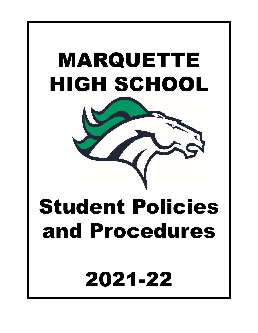



# Student Policies and Procedures

2021-22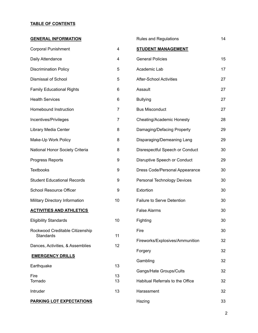#### **TABLE OF CONTENTS**

| <b>GENERAL INFORMATION</b>         |                | <b>Rules and Regulations</b>       | 14 |
|------------------------------------|----------------|------------------------------------|----|
| <b>Corporal Punishment</b>         | 4              | <b>STUDENT MANAGEMENT</b>          |    |
| Daily Attendance                   | 4              | <b>General Policies</b>            | 15 |
| <b>Discrimination Policy</b>       | 5              | Academic Lab                       | 17 |
| Dismissal of School                | 5              | <b>After-School Activities</b>     | 27 |
| <b>Family Educational Rights</b>   | 6              | Assault                            | 27 |
| <b>Health Services</b>             | 6              | <b>Bullying</b>                    | 27 |
| Homebound Instruction              | 7              | <b>Bus Misconduct</b>              | 27 |
| Incentives/Privileges              | $\overline{7}$ | Cheating/Academic Honesty          | 28 |
| Library Media Center               | 8              | Damaging/Defacing Property         | 29 |
| Make-Up Work Policy                | 8              | Disparaging/Demeaning Lang         | 29 |
| National Honor Society Criteria    | 8              | Disrespectful Speech or Conduct    | 30 |
| Progress Reports                   | 9              | Disruptive Speech or Conduct       | 29 |
| <b>Textbooks</b>                   | 9              | Dress Code/Personal Appearance     | 30 |
| <b>Student Educational Records</b> | 9              | <b>Personal Technology Devices</b> | 30 |
| <b>School Resource Officer</b>     | 9              | Extortion                          | 30 |
| Military Directory Information     | 10             | Failure to Serve Detention         | 30 |
| <b>ACTIVITIES AND ATHLETICS</b>    |                | <b>False Alarms</b>                | 30 |
| <b>Eligibility Standards</b>       | 10             | Fighting                           | 30 |
| Rockwood Creditable Citizenship    |                | Fire                               | 30 |
| <b>Standards</b>                   | 11             | Fireworks/Explosives/Ammunition    | 32 |
| Dances, Activities, & Assemblies   | 12             | Forgery                            | 32 |
| <b>EMERGENCY DRILLS</b>            |                | Gambling                           | 32 |
| Earthquake                         | 13             | Gangs/Hate Groups/Cults            | 32 |
| Fire<br>Tornado                    | 13<br>13       | Habitual Referrals to the Office   | 32 |
| Intruder                           | 13             | Harassment                         | 32 |
| <b>PARKING LOT EXPECTATIONS</b>    |                | Hazing                             | 33 |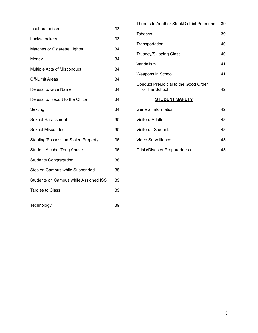| Insubordination | 33 |
|-----------------|----|
|-----------------|----|

- Locks/Lockers 33 Matches or Cigarette Lighter 34
- Money 34
- Multiple Acts of Misconduct 34
- Off-Limit Areas 34
- 
- Refusal to Give Name 34
	-
- 

Refusal to Report to the Office 34

Sexting 34

Sexual Harassment 35

Sexual Misconduct 35

Stealing/Possession Stolen Property 36

Student Alcohol/Drug Abuse 36

Students Congregating 38

Stds on Campus while Suspended 38

Students on Campus while Assigned ISS 39

Tardies to Class 39

- 
- Conduct Prejudicial to the Good Order of The School 42

#### **STUDENT SAFETY**

| General Information          | 42 |
|------------------------------|----|
| Visitors-Adults              | 43 |
| Visitors - Students          | 43 |
| Video Surveillance           | 43 |
| Crisis/Disaster Preparedness | 43 |

Threats to Another Stdnt/District Personnel 39

Tobacco 39

Transportation 40

Truancy/Skipping Class 40

Vandalism 41

Weapons in School 41

Technology 39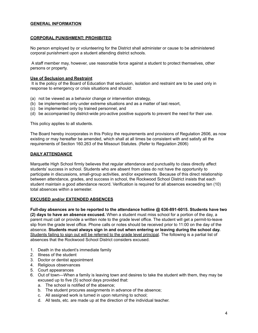#### **GENERAL INFORMATION**

#### **CORPORAL PUNISHMENT; PROHIBITED**

No person employed by or volunteering for the District shall administer or cause to be administered corporal punishment upon a student attending district schools.

A staff member may, however, use reasonable force against a student to protect themselves, other persons or property.

#### **Use of Seclusion and Restraint**

It is the policy of the Board of Education that seclusion, isolation and restraint are to be used only in response to emergency or crisis situations and should:

- (a) not be viewed as a behavior change or intervention strategy,
- (b) be implemented only under extreme situations and as a matter of last resort,
- (c) be implemented only by trained personnel, and
- (d) be accompanied by district-wide pro-active positive supports to prevent the need for their use.

This policy applies to all students.

The Board hereby incorporates in this Policy the requirements and provisions of Regulation 2606, as now existing or may hereafter be amended, which shall at all times be consistent with and satisfy all the requirements of Section 160.263 of the Missouri Statutes. (Refer to Regulation 2606)

#### **DAILY ATTENDANCE**

Marquette High School firmly believes that regular attendance and punctuality to class directly affect students' success in school. Students who are absent from class do not have the opportunity to participate in discussions, small-group activities, and/or experiments. Because of this direct relationship between attendance, grades, and success in school, the Rockwood School District insists that each student maintain a good attendance record. Verification is required for all absences exceeding ten (10) total absences within a semester.

#### **EXCUSED and/or EXTENDED ABSENCES**

**Full-day absences are to be reported to the attendance hotline @ 636-891-6015. Students have two (2) days to have an absence excused.** When a student must miss school for a portion of the day, a parent must call or provide a written note to the grade level office. The student will get a permit-to-leave slip from the grade level office. Phone calls or notes should be received prior to 11:00 on the day of the absence. **Students must always sign in and out when entering or leaving during the school day.** Students failing to sign out will be referred to the grade level principal. The following is a partial list of absences that the Rockwood School District considers excused.

- 1. Death in the student's immediate family
- 2. Illness of the student
- 3. Doctor or dentist appointment
- 4. Religious observances
- 5. Court appearances
- 6. Out of town—When a family is leaving town and desires to take the student with them, they may be excused up to five (5) school days provided that:
	- a. The school is notified of the absence;
	- b. The student procures assignments in advance of the absence;
	- c. All assigned work is turned in upon returning to school;
	- d. All tests, etc. are made up at the direction of the individual teacher.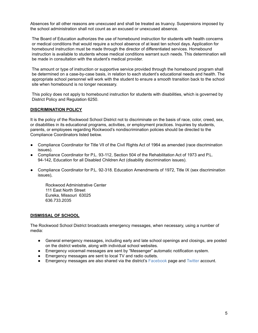Absences for all other reasons are unexcused and shall be treated as truancy. Suspensions imposed by the school administration shall not count as an excused or unexcused absence.

The Board of Education authorizes the use of homebound instruction for students with health concerns or medical conditions that would require a school absence of at least ten school days. Application for homebound instruction must be made through the director of differentiated services. Homebound instruction is available to students whose medical conditions warrant such needs. This determination will be made in consultation with the student's medical provider.

The amount or type of instruction or supportive service provided through the homebound program shall be determined on a case-by-case basis, in relation to each student's educational needs and health. The appropriate school personnel will work with the student to ensure a smooth transition back to the school site when homebound is no longer necessary.

This policy does not apply to homebound instruction for students with disabilities, which is governed by District Policy and Regulation 6250.

#### **DISCRIMINATION POLICY**

It is the policy of the Rockwood School District not to discriminate on the basis of race, color, creed, sex, or disabilities in its educational programs, activities, or employment practices. Inquiries by students, parents, or employees regarding Rockwood's nondiscrimination policies should be directed to the Compliance Coordinators listed below.

- Compliance Coordinator for Title Vll of the Civil Rights Act of 1964 as amended (race discrimination issues).
- Compliance Coordinator for P.L. 93-112, Section 504 of the Rehabilitation Act of 1973 and P.L. 94-142, Education for all Disabled Children Act (disability discrimination issues).
- Compliance Coordinator for P.L. 92-318. Education Amendments of 1972, Title IX (sex discrimination issues),

Rockwood Administrative Center 111 East North Street Eureka, Missouri 63025 636.733.2035

#### **DISMISSAL OF SCHOOL**

The Rockwood School District broadcasts emergency messages, when necessary, using a number of media:

- General emergency messages, including early and late school openings and closings, are posted on the district website, along with individual school websites.
- Emergency voicemail messages are sent by "Messenger" automatic notification system.
- Emergency messages are sent to local TV and radio outlets.
- Emergency messages are also shared via the district's Facebook page and Twitter account.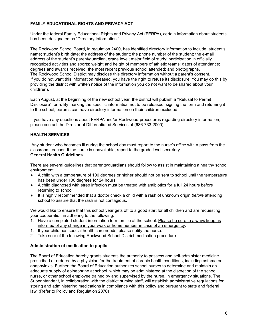#### **FAMILY EDUCATIONAL RIGHTS AND PRIVACY ACT**

Under the federal Family Educational Rights and Privacy Act (FERPA), certain information about students has been designated as "Directory Information."

The Rockwood School Board, in regulation 2400, has identified directory information to include: student's name; student's birth date; the address of the student; the phone number of the student; the e-mail address of the student's parent/guardian, grade level; major field of study; participation in officially recognized activities and sports; weight and height of members of athletic teams; dates of attendance; degrees and awards received; the most recent previous school attended; and photographs. The Rockwood School District may disclose this directory information without a parent's consent. If you do not want this information released, you have the right to refuse its disclosure. You may do this by providing the district with written notice of the information you do not want to be shared about your child(ren).

Each August, at the beginning of the new school year, the district will publish a "Refusal to Permit Disclosure" form. By marking the specific information not to be released, signing the form and returning it to the school, parents can have directory information on their children excluded.

If you have any questions about FERPA and/or Rockwood procedures regarding directory information, please contact the Director of Differentiated Services at (636-733-2000).

#### **HEALTH SERVICES**

Any student who becomes ill during the school day must report to the nurse's office with a pass from the classroom teacher. If the nurse is unavailable, report to the grade level secretary.

#### **General Health Guidelines**

There are several guidelines that parents/guardians should follow to assist in maintaining a healthy school environment.

- **●** A child with a temperature of 100 degrees or higher should not be sent to school until the temperature has been under 100 degrees for 24 hours.
- **●** A child diagnosed with strep infection must be treated with antibiotics for a full 24 hours before returning to school.
- **●** It is highly recommended that a doctor check a child with a rash of unknown origin *before* attending school to assure that the rash is not contagious.

We would like to ensure that this school year gets off to a good start for all children and are requesting your cooperation in adhering to the following:

- 1. Have a completed student information form on file at the school. Please be sure to always keep us informed of any change in your work or home number in case of an emergency.
- 1. If your child has special health care needs, please notify the nurse.
- 2. Take note of the following Rockwood School District medication procedure.

#### **Administration of medication to pupils**

The Board of Education hereby grants students the authority to possess and self-administer medicine prescribed or ordered by a physician for the treatment of chronic health conditions, including asthma or anaphylaxis. Further, the Board of Education authorizes school nurses to determine and maintain an adequate supply of epinephrine at school, which may be administered at the discretion of the school nurse, or other school employee trained by and supervised by the nurse, in emergency situations. The Superintendent, in collaboration with the district nursing staff, will establish administrative regulations for storing and administering medications in compliance with this policy and pursuant to state and federal law. (Refer to Policy and Regulation 2870)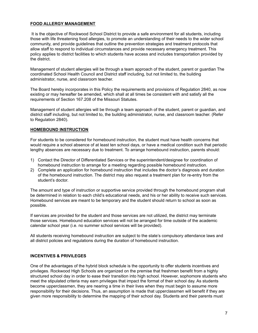#### **FOOD ALLERGY MANAGEMENT**

It is the objective of Rockwood School District to provide a safe environment for all students, including those with life threatening food allergies, to promote an understanding of their needs to the wider school community, and provide guidelines that outline the prevention strategies and treatment protocols that allow staff to respond to individual circumstances and provide necessary emergency treatment. This policy applies to district facilities to which students have access and includes transportation provided by the district.

Management of student allergies will be through a team approach of the student, parent or guardian The coordinated School Health Council and District staff including, but not limited to, the building administrator, nurse, and classroom teacher.

The Board hereby incorporates in this Policy the requirements and provisions of Regulation 2840, as now existing or may hereafter be amended, which shall at all times be consistent with and satisfy all the requirements of Section 167.208 of the Missouri Statutes.

Management of student allergies will be through a team approach of the student, parent or guardian, and district staff including, but not limited to, the building administrator, nurse, and classroom teacher. (Refer to Regulation 2840).

#### **HOMEBOUND INSTRUCTION**

For students to be considered for homebound instruction, the student must have health concerns that would require a school absence of at least ten school days, or have a medical condition such that periodic lengthy absences are necessary due to treatment. To arrange homebound instruction, parents should:

- 1) Contact the Director of Differentiated Services or the superintendent/designee for coordination of homebound instruction to arrange for a meeting regarding possible homebound instruction.
- 2) Complete an application for homebound instruction that includes the doctor's diagnosis and duration of the homebound instruction. The district may also request a treatment plan for re-entry from the student's doctor.

The amount and type of instruction or supportive service provided through the homebound program shall be determined in relation to each child's educational needs, and his or her ability to receive such services. Homebound services are meant to be temporary and the student should return to school as soon as possible.

If services are provided for the student and those services are not utilized, the district may terminate those services. Homebound education services will not be arranged for time outside of the academic calendar school year (i.e. no summer school services will be provided).

All students receiving homebound instruction are subject to the state's compulsory attendance laws and all district policies and regulations during the duration of homebound instruction.

#### **INCENTIVES & PRIVILEGES**

One of the advantages of the hybrid block schedule is the opportunity to offer students incentives and privileges. Rockwood High Schools are organized on the premise that freshmen benefit from a highly structured school day in order to ease their transition into high school. However, sophomore students who meet the stipulated criteria may earn privileges that impact the format of their school day. As students become upperclassmen, they are nearing a time in their lives when they must begin to assume more responsibility for their decisions. Thus, an assumption is made that upperclassmen will benefit if they are given more responsibility to determine the mapping of their school day. Students and their parents must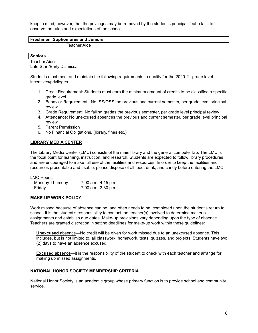keep in mind, however, that the privileges may be removed by the student's principal if s/he fails to observe the rules and expectations of the school.

#### **Freshmen, Sophomores and Juniors**

Teacher Aide

#### **Seniors**

Teacher Aide Late Start/Early Dismissal

Students must meet and maintain the following requirements to qualify for the 2020-21 grade level incentives/privileges.

- 1. Credit Requirement: Students must earn the minimum amount of credits to be classified a specific grade level
- 2. Behavior Requirement: No ISS/OSS the previous and current semester, per grade level principal review
- 3. Grade Requirement: No failing grades the previous semester, per grade level principal review
- 4. Attendance: No unexcused absences the previous and current semester, per grade level principal review
- 5. Parent Permission
- 6. No Financial Obligations, (library, fines etc.)

#### **LIBRARY MEDIA CENTER**

The Library Media Center (LMC) consists of the main library and the general computer lab. The LMC is the focal point for learning, instruction, and research. Students are expected to follow library procedures and are encouraged to make full use of the facilities and resources. In order to keep the facilities and resources presentable and usable, please dispose of all food, drink, and candy before entering the LMC.

#### LMC Hours:

| Monday-Thursday | 7:00 a.m.-4:15 p.m. |
|-----------------|---------------------|
| Friday          | 7:00 a.m.-3:30 p.m. |

#### **MAKE-UP WORK POLICY**

Work missed because of absence can be, and often needs to be, completed upon the student's return to school. It is the student's responsibility to contact the teacher(s) involved to determine makeup assignments and establish due dates. Make-up provisions vary depending upon the type of absence. Teachers are granted discretion in setting deadlines for make-up work within these guidelines:

**Unexcused** absence—No credit will be given for work missed due to an unexcused absence. This includes, but is not limited to, all classwork, homework, tests, quizzes, and projects. Students have two (2) days to have an absence excused.

**Excused** absence—it is the responsibility of the student to check with each teacher and arrange for making up missed assignments.

#### **NATIONAL HONOR SOCIETY MEMBERSHIP CRITERIA**

National Honor Society is an academic group whose primary function is to provide school and community service.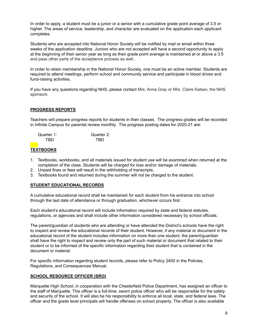In order to apply, a student must be a junior or a senior with a cumulative grade point average of 3.5 or higher. The areas of service, leadership, and character are evaluated on the application each applicant completes.

Students who are accepted into National Honor Society will be notified by mail or email within three weeks of the application deadline. Juniors who are not accepted will have a second opportunity to apply at the beginning of their senior year as long as their grade point average is maintained at or above a 3.5 and pass other parts of the acceptance process as well..

In order to retain membership in the National Honor Society, one must be an active member. Students are required to attend meetings, perform school and community service and participate in blood drives and fund-raising activities.

If you have any questions regarding NHS, please contact Mrs. Anna Gray or Mrs. Claire Katsev, the NHS sponsors

#### **PROGRESS REPORTS**

Teachers will prepare progress reports for students in their classes. The progress grades will be recorded in Infinite Campus for parental review monthly. The progress posting dates for 2020-21 are:

| Quarter 1: | Quarter 2: |
|------------|------------|
| TRD.       | TRD.       |

#### **TEXTBOOKS**

- 1. Textbooks, workbooks, and all materials issued for student use will be examined when returned at the completion of the class. Students will be charged for loss and/or damage of materials.
- 2. Unpaid fines or fees will result in the withholding of transcripts.
- 3. Textbooks found and returned during the summer will not be charged to the student.

#### **STUDENT EDUCATIONAL RECORDS**

A cumulative educational record shall be maintained for each student from his entrance into school through the last date of attendance or through graduation, whichever occurs first.

Each student's educational record will include information required by state and federal statutes, regulations, or agencies and shall include other information considered necessary by school officials.

The parent/guardian of students who are attending or have attended the District's schools have the right to inspect and review the educational records of their student. However, if any material or document in the educational record of the student includes information on more than one student, the parent/guardian shall have the right to inspect and review only the part of such material or document that related to their student or to be informed of the specific information regarding their student that is contained in the document or material.

For specific information regarding student records, please refer to Policy 2400 in the Policies, Regulations, and Consequences Manual.

#### **SCHOOL RESOURCE OFFICER (SRO)**

Marquette High School, in cooperation with the Chesterfield Police Department, has assigned an officer to the staff of Marquette. This officer is a full-time, sworn police officer who will be responsible for the safety and security of the school. It will also be his responsibility to enforce all local, state, and federal laws. The officer and the grade level principals will handle offenses on school property. The officer is also available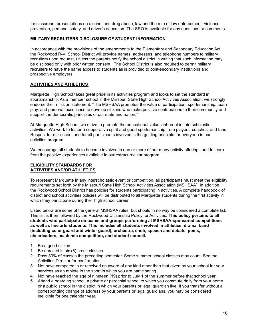for classroom presentations on alcohol and drug abuse, law and the role of law enforcement, violence prevention, personal safety, and driver's education. The SRO is available for any questions or comments.

#### **MILITARY RECRUITERS DISCLOSURE OF STUDENT INFORMATION**

In accordance with the provisions of the amendments to the Elementary and Secondary Education Act, the Rockwood R-VI School District will provide names, addresses, and telephone numbers to military recruiters upon request, unless the parents notify the school district in writing that such information may be disclosed only with prior written consent. The School District is also required to permit military recruiters to have the same access to students as is provided to post-secondary institutions and prospective employers.

#### **ACTIVITIES AND ATHLETICS**

Marquette High School takes great pride in its activities program and looks to set the standard in sportsmanship. As a member school in the Missouri State High School Activities Association, we strongly endorse their mission statement: "The MSHSAA promotes the value of participation, sportsmanship, team play, and personal excellence to develop citizens who make positive contributions to their community and support the democratic principles of our state and nation."

At Marquette High School, we strive to promote the educational values inherent in interscholastic activities. We work to foster a cooperative spirit and good sportsmanship from players, coaches, and fans. Respect for our school and for all participants involved is the guiding principle for everyone in our activities program.

We encourage all students to become involved in one or more of our many activity offerings and to learn from the positive experiences available in our extracurricular program.

#### **ELIGIBILITY STANDARDS FOR ACTIVITIES AND/OR ATHLETICS**

To represent Marquette in any interscholastic event or competition, all participants must meet the eligibility requirements set forth by the Missouri State High School Activities Association (MSHSAA). In addition, the Rockwood School District has policies for students participating in activities. A complete handbook of district and school activities policies will be distributed to all Marquette students during the first activity in which they participate during their high school career.

Listed below are some of the general MSHSAA rules, but should in no way be considered a complete list. This list is then followed by the Rockwood Citizenship Policy for Activities. **This policy pertains to all students who participate on teams and groups performing at MSHSAA-sponsored competitions as well as fine arts students. This includes all students involved in athletics, drama, band (including color guard and winter guard), orchestra, choir, speech and debate, poms, cheerleaders, academic competition, and student council.**

- 1. Be a good citizen.
- 1. Be enrolled in six (6) credit classes.
- 2. Pass 80% of classes the preceding semester. Some summer school classes may count. See the Activities Director for confirmation.
- 3. Not have competed in or received an award of any kind other than that given by your school for your services as an athlete in the sport in which you are participating.
- 4. Not have reached the age of nineteen (19) prior to July 1 of the summer before that school year.
- 5. Attend a boarding school, a private or parochial school to which you commute daily from your home or a public school in the district in which your parents or legal guardian live. If you transfer without a corresponding change of address by your parents or legal guardians, you may be considered ineligible for one calendar year.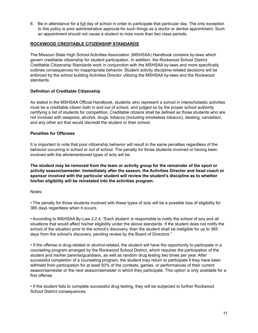6. Be in attendance for a full day of school in order to participate that particular day. The only exception to this policy is prior administrative approval for such things as a doctor or dentist appointment. Such an appointment should not cause a student to miss more than two class periods.

#### **ROCKWOOD CREDITABLE CITIZENSHIP STANDARDS**

The Missouri State High School Activities Association (MSHSAA) Handbook contains by-laws which govern creditable citizenship for student participation. In addition, the Rockwood School District Creditable Citizenship Standards work in conjunction with the MSHSAA by-laws and more specifically outlines consequences for inappropriate behavior. Student activity discipline-related decisions will be enforced by the school building Activities Director utilizing the MSHSAA by-laws and the Rockwood standards.

#### **Definition of Creditable Citizenship**

As stated in the MSHSAA Official Handbook, students who represent a school in interscholastic activities must be a creditable citizen both in and out of school, and judged so by the proper school authority certifying a list of students for competition. Creditable citizens shall be defined as those students who are not involved with weapons, alcohol, drugs, tobacco (including smokeless tobacco), stealing, vandalism, and any other act that would discredit the student or their school.

#### **Penalties for Offenses**

It is important to note that poor citizenship behavior will result in the same penalties regardless of the behavior occurring in school or out of school. The penalty for those students involved or having been involved with the aforementioned types of acts will be:

**The student may be removed from the team or activity group for the remainder of the sport or activity season/semester. Immediately after the season, the Activities Director and head coach or sponsor involved with the particular student will review the student's discipline as to whether his/her eligibility will be reinstated into the activities program.**

Notes:

• The penalty for those students involved with these types of acts will be a possible loss of eligibility for 365 days regardless when it occurs.

• According to MSHSAA By-Law 2.2.4, "Each student is responsible to notify the school of any and all situations that would affect his/her eligibility under the above standards. If the student does not notify the school of the situation prior to the school's discovery, then the student shall be ineligible for up to 365 days from the school's discovery, pending review by the Board of Directors."

• If the offense is drug-related or alcohol-related, the student will have the opportunity to participate in a counseling program arranged by the Rockwood School District, which requires the participation of the student and his/her parents/guardians, as well as random drug testing two times per year. After successful completion of a counseling program, the student may return to participate if they have been withheld from participation for at least 50% of the contests, games, or performances of their current season/semester or the next season/semester in which they participate. This option is only available for a first offense.

• If the student fails to complete successful drug testing, they will be subjected to further Rockwood School District consequences.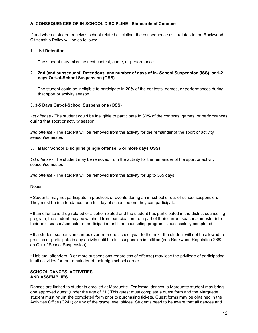#### **A. CONSEQUENCES OF IN-SCHOOL DISCIPLINE - Standards of Conduct**

If and when a student receives school-related discipline, the consequence as it relates to the Rockwood Citizenship Policy will be as follows:

#### **1. 1st Detention**

The student may miss the next contest, game, or performance.

#### **2. 2nd (and subsequent) Detentions, any number of days of In- School Suspension (ISS), or 1-2 days Out-of-School Suspension (OSS)**

The student could be ineligible to participate in 20% of the contests, games, or performances during that sport or activity season.

#### **3. 3-5 Days Out-of-School Suspensions (OSS)**

*1st offense* - The student could be ineligible to participate in 30% of the contests, games, or performances during that sport or activity season.

*2nd offense* - The student will be removed from the activity for the remainder of the sport or activity season/semester.

#### **3. Major School Discipline (single offense, 6 or more days OSS)**

*1st offense* - The student may be removed from the activity for the remainder of the sport or activity season/semester.

*2nd offense* - The student will be removed from the activity for up to 365 days.

Notes:

• Students may not participate in practices or events during an in-school or out-of-school suspension. They must be in attendance for a full day of school before they can participate.

• If an offense is drug-related or alcohol-related and the student has participated in the district counseling program, the student may be withheld from participation from part of their current season/semester into their next season/semester of participation until the counseling program is successfully completed.

• If a student suspension carries over from one school year to the next, the student will not be allowed to practice or participate in any activity until the full suspension is fulfilled (see Rockwood Regulation 2662 on Out of School Suspension)

• Habitual offenders (3 or more suspensions regardless of offense) may lose the privilege of participating in all activities for the remainder of their high school career.

#### **SCHOOL DANCES, ACTIVITIES, AND ASSEMBLIES**

Dances are limited to students enrolled at Marquette. For formal dances, a Marquette student may bring one approved guest (under the age of 21.) This guest must complete a guest form and the Marquette student must return the completed form prior to purchasing tickets. Guest forms may be obtained in the Activities Office (C241) or any of the grade level offices. Students need to be aware that all dances and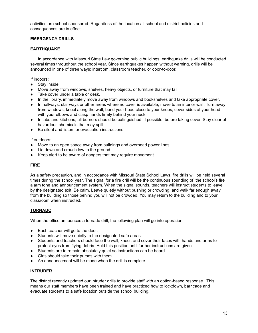activities are school-sponsored. Regardless of the location all school and district policies and consequences are in effect.

#### **EMERGENCY DRILLS**

#### **EARTHQUAKE**

In accordance with Missouri State Law governing public buildings, earthquake drills will be conducted several times throughout the school year. Since earthquakes happen without warning, drills will be announced in one of three ways: intercom, classroom teacher, or door-to-door.

If indoors:

- Stav inside.
- Move away from windows, shelves, heavy objects, or furniture that may fall.
- Take cover under a table or desk.
- In the library, immediately move away from windows and bookshelves and take appropriate cover.
- In hallways, stairways or other areas where no cover is available, move to an interior wall. Turn away from windows, kneel along the wall, bend your head close to your knees, cover sides of your head with your elbows and clasp hands firmly behind your neck.
- In labs and kitchens, all burners should be extinguished, if possible, before taking cover. Stay clear of hazardous chemicals that may spill.
- Be silent and listen for evacuation instructions.

If outdoors:

- Move to an open space away from buildings and overhead power lines.
- Lie down and crouch low to the ground.
- Keep alert to be aware of dangers that may require movement.

#### **FIRE**

As a safety precaution, and in accordance with Missouri State School Laws, fire drills will be held several times during the school year. The signal for a fire drill will be the continuous sounding of the school's fire alarm tone and announcement system. When the signal sounds, teachers will instruct students to leave by the designated exit. Be calm. Leave quietly without pushing or crowding, and walk far enough away from the building so those behind you will not be crowded. You may return to the building and to your classroom when instructed.

#### **TORNADO**

When the office announces a tornado drill, the following plan will go into operation.

- Each teacher will go to the door.
- Students will move quietly to the designated safe areas.
- Students and teachers should face the wall, kneel, and cover their faces with hands and arms to protect eyes from flying debris. Hold this position until further instructions are given.
- Students are to remain absolutely quiet so instructions can be heard.
- Girls should take their purses with them.
- An announcement will be made when the drill is complete.

#### **INTRUDER**

The district recently updated our intruder drills to provide staff with an option-based response. This means our staff members have been trained and have practiced how to lockdown, barricade and evacuate students to a safe location outside the school building.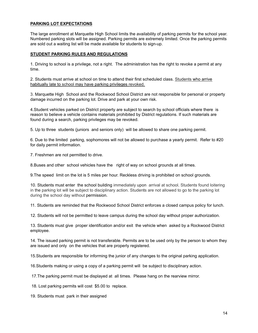#### **PARKING LOT EXPECTATIONS**

The large enrollment at Marquette High School limits the availability of parking permits for the school year. Numbered parking slots will be assigned. Parking permits are extremely limited. Once the parking permits are sold out a waiting list will be made available for students to sign-up.

#### **STUDENT PARKING RULES AND REGULATIONS**

1. Driving to school is a privilege, not a right. The administration has the right to revoke a permit at any time.

2. Students must arrive at school on time to attend their first scheduled class. Students who arrive habitually late to school may have parking privileges revoked.

3. Marquette High School and the Rockwood School District are not responsible for personal or property damage incurred on the parking lot. Drive and park at your own risk.

4.Student vehicles parked on District property are subject to search by school officials where there is reason to believe a vehicle contains materials prohibited by District regulations. If such materials are found during a search, parking privileges may be revoked.

5. Up to three students (juniors and seniors only) will be allowed to share one parking permit.

6. Due to the limited parking, sophomores will not be allowed to purchase a yearly permit. Refer to #20 for daily permit information.

7. Freshmen are not permitted to drive.

8.Buses and other school vehicles have the right of way on school grounds at all times.

9.The speed limit on the lot is 5 miles per hour. Reckless driving is prohibited on school grounds.

10. Students must enter the school building immediately upon arrival at school. Students found loitering in the parking lot will be subject to disciplinary action. Students are not allowed to go to the parking lot during the school day without permission.

11. Students are reminded that the Rockwood School District enforces a closed campus policy for lunch.

12. Students will not be permitted to leave campus during the school day without proper authorization.

13. Students must give proper identification and/or exit the vehicle when asked by a Rockwood District employee.

14. The issued parking permit is not transferable. Permits are to be used only by the person to whom they are issued and only on the vehicles that are properly registered.

15.Students are responsible for informing the junior of any changes to the original parking application.

16.Students making or using a copy of a parking permit will be subject to disciplinary action.

17.The parking permit must be displayed at all times. Please hang on the rearview mirror.

18. Lost parking permits will cost \$5.00 to replace.

19. Students must park in their assigned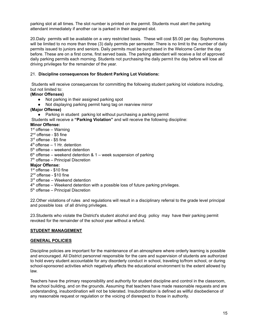parking slot at all times. The slot number is printed on the permit. Students must alert the parking attendant immediately if another car is parked in their assigned slot.

20.Daily permits will be available on a very restricted basis. These will cost \$5.00 per day. Sophomores will be limited to no more than three (3) daily permits per semester. There is no limit to the number of daily permits issued to juniors and seniors. Daily permits must be purchased in the Welcome Center the day before. These are on a first come, first served basis. The parking attendant will receive a list of approved daily parking permits each morning. Students not purchasing the daily permit the day before will lose all driving privileges for the remainder of the year.

#### 21. **Discipline consequences for Student Parking Lot Violations:**

Students will receive consequences for committing the following student parking lot violations including, but not limited to:

#### **(Minor Offenses)**

- Not parking in their assigned parking spot
- Not displaying parking permit hang tag on rearview mirror
- **(Major Offense)**
	- Parking in student parking lot without purchasing a parking permit

Students will receive a **"Parking Violation"** and will receive the following discipline:

#### **Minor Offense:**

- 1<sup>st</sup> offense Warning
- 2<sup>nd</sup> offense \$5 fine
- 3 rd offense \$5 fine
- 4 th offense 1 Hr. detention
- 5<sup>th</sup> offense weekend detention
- $6<sup>th</sup>$  offense weekend detention & 1 week suspension of parking
- 7<sup>th</sup> offense Principal Discretion

#### **Major Offense:**

- 1<sup>st</sup> offense \$10 fine
- 2<sup>nd</sup> offense \$10 fine
- 3<sup>rd</sup> offense Weekend detention
- 4<sup>th</sup> offense Weekend detention with a possible loss of future parking privileges.
- 5<sup>th</sup> offense Principal Discretion

22.Other violations of rules and regulations will result in a disciplinary referral to the grade level principal and possible loss of all driving privileges.

23.Students who violate the District's student alcohol and drug policy may have their parking permit revoked for the remainder of the school year without a refund.

#### **STUDENT MANAGEMENT**

#### **GENERAL POLICIES**

Discipline policies are important for the maintenance of an atmosphere where orderly learning is possible and encouraged. All District personnel responsible for the care and supervision of students are authorized to hold every student accountable for any disorderly conduct in school, traveling to/from school, or during school-sponsored activities which negatively affects the educational environment to the extent allowed by law.

Teachers have the primary responsibility and authority for student discipline and control in the classroom, the school building, and on the grounds. Assuming that teachers have made reasonable requests and are understanding, insubordination will not be tolerated. Insubordination is defined as willful disobedience of any reasonable request or regulation or the voicing of disrespect to those in authority.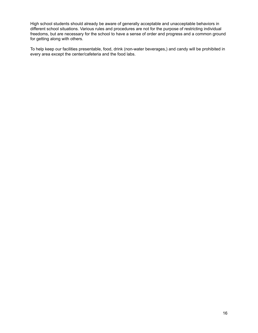High school students should already be aware of generally acceptable and unacceptable behaviors in different school situations. Various rules and procedures are not for the purpose of restricting individual freedoms, but are necessary for the school to have a sense of order and progress and a common ground for getting along with others.

To help keep our facilities presentable, food, drink (non-water beverages,) and candy will be prohibited in every area except the center/cafeteria and the food labs.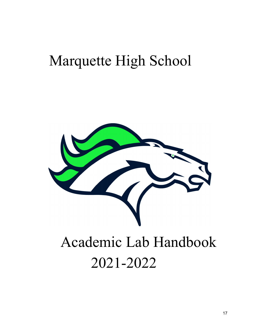## Marquette High School

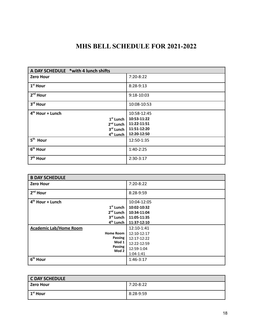## **MHS BELL SCHEDULE FOR 2021-2022**

| A DAY SCHEDULE *with 4 lunch shifts |             |  |
|-------------------------------------|-------------|--|
| <b>Zero Hour</b>                    | 7:20-8:22   |  |
| 1 <sup>st</sup> Hour                | 8:28-9:13   |  |
| $2nd$ Hour                          | 9:18-10:03  |  |
| 3rd Hour                            | 10:08-10:53 |  |
| 4 <sup>th</sup> Hour + Lunch        | 10:58-12:45 |  |
| $1st$ Lunch                         | 10:53-11:22 |  |
| $2nd$ Lunch                         | 11:22-11:51 |  |
| 3rd Lunch                           | 11:51-12:20 |  |
| 4 <sup>th</sup> Lunch               | 12:20-12:50 |  |
| $5th$ Hour                          | 12:50-1:35  |  |
| 6 <sup>th</sup> Hour                | $1:40-2:25$ |  |
| 7 <sup>th</sup> Hour                | 2:30-3:17   |  |

| <b>B DAY SCHEDULE</b>         |               |
|-------------------------------|---------------|
| <b>Zero Hour</b>              | 7:20-8:22     |
| $2nd$ Hour                    | 8:28-9:59     |
| $4th$ Hour + Lunch            | 10:04-12:05   |
| $1st$ Lunch                   | 10:02-10:32   |
| 2 <sup>nd</sup> Lunch         | 10:34-11:04   |
| 3rd Lunch                     | 11:05-11:35   |
| 4 <sup>th</sup> Lunch         | 11:37-12:10   |
| <b>Academic Lab/Home Room</b> | 12:10-1:41    |
| <b>Home Room</b>              | 12:10-12:17   |
| Passing                       | 12:17-12:22   |
| Mod 1                         | 12:22-12:59   |
| Passing<br>Mod 2              | 12:59-1:04    |
|                               | $1:04 - 1:41$ |
| 6 <sup>th</sup> Hour          | $1:46-3:17$   |

| <b>C DAY SCHEDULE</b>  |           |  |
|------------------------|-----------|--|
| l Zero Hour            | 7:20-8:22 |  |
| l 1 <sup>st</sup> Hour | 8:28-9:59 |  |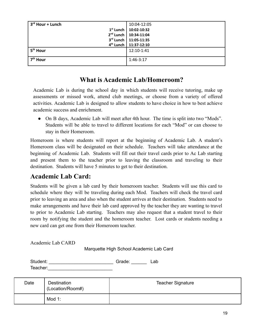| 3 <sup>rd</sup> Hour + Lunch | 10:04-12:05                         |
|------------------------------|-------------------------------------|
|                              | $1st$ Lunch   10:02-10:32           |
|                              | 2 <sup>nd</sup> Lunch   10:34-11:04 |
|                              | 3rd Lunch   11:05-11:35             |
|                              | 4 <sup>th</sup> Lunch   11:37-12:10 |
| 5 <sup>th</sup> Hour         | 12:10-1:41                          |
| 7 <sup>th</sup> Hour         | 1:46-3:17                           |

## **What is Academic Lab/Homeroom?**

Academic Lab is during the school day in which students will receive tutoring, make up assessments or missed work, attend club meetings, or choose from a variety of offered activities. Academic Lab is designed to allow students to have choice in how to best achieve academic success and enrichment.

• On B days, Academic Lab will meet after 4th hour. The time is split into two "Mods". Students will be able to travel to different locations for each "Mod" or can choose to stay in their Homeroom.

Homeroom is where students will report at the beginning of Academic Lab. A student's Homeroom class will be designated on their schedule. Teachers will take attendance at the beginning of Academic Lab. Students will fill out their travel cards prior to Ac Lab starting and present them to the teacher prior to leaving the classroom and traveling to their destination. Students will have 5 minutes to get to their destination.

## **Academic Lab Card:**

Students will be given a lab card by their homeroom teacher. Students will use this card to schedule where they will be traveling during each Mod. Teachers will check the travel card prior to leaving an area and also when the student arrives at their destination. Students need to make arrangements and have their lab card approved by the teacher they are wanting to travel to prior to Academic Lab starting. Teachers may also request that a student travel to their room by notifying the student and the homeroom teacher. Lost cards or students needing a new card can get one from their Homeroom teacher.

Academic Lab CARD

Marquette High School Academic Lab Card

| Student: | Grade: | ∟ab |
|----------|--------|-----|
| Teacher: |        |     |

| Date | Destination<br>(Location/Room#) | <b>Teacher Signature</b> |
|------|---------------------------------|--------------------------|
|      | Mod 1:                          |                          |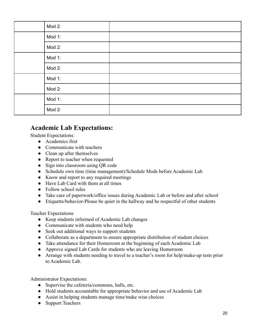|  | Mod 2: |  |
|--|--------|--|
|  | Mod 1: |  |
|  | Mod 2: |  |
|  | Mod 1: |  |
|  | Mod 2: |  |
|  | Mod 1: |  |
|  | Mod 2: |  |
|  | Mod 1: |  |
|  | Mod 2: |  |

## **Academic Lab Expectations:**

Student Expectations:

- Academics first
- Communicate with teachers
- Clean up after themselves
- Report to teacher when requested
- Sign into classroom using QR code
- Schedule own time (time management)/Schedule Mods before Academic Lab
- Know and report to any required meetings
- Have Lab Card with them at all times
- Follow school rules
- Take care of paperwork/office issues during Academic Lab or before and after school
- Etiquette/behavior-Please be quiet in the hallway and be respectful of other students

Teacher Expectations

- Keep students informed of Academic Lab changes
- Communicate with students who need help
- Seek out additional ways to support students
- Collaborate as a department to ensure appropriate distribution of student choices
- Take attendance for their Homeroom at the beginning of each Academic Lab
- Approve signed Lab Cards for students who are leaving Homeroom
- Arrange with students needing to travel to a teacher's room for help/make-up tests prior to Academic Lab.

Administrator Expectations:

- Supervise the cafeteria/commons, halls, etc.
- Hold students accountable for appropriate behavior and use of Academic Lab
- Assist in helping students manage time/make wise choices
- Support Teachers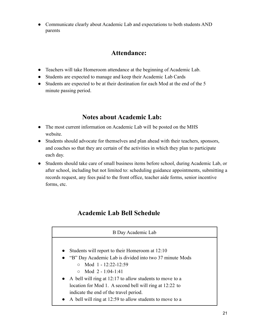● Communicate clearly about Academic Lab and expectations to both students AND parents

## **Attendance:**

- Teachers will take Homeroom attendance at the beginning of Academic Lab.
- Students are expected to manage and keep their Academic Lab Cards
- Students are expected to be at their destination for each Mod at the end of the 5 minute passing period.

## **Notes about Academic Lab:**

- The most current information on Academic Lab will be posted on the MHS website.
- Students should advocate for themselves and plan ahead with their teachers, sponsors, and coaches so that they are certain of the activities in which they plan to participate each day.
- Students should take care of small business items before school, during Academic Lab, or after school, including but not limited to: scheduling guidance appointments, submitting a records request, any fees paid to the front office, teacher aide forms, senior incentive forms, etc.

## **Academic Lab Bell Schedule**

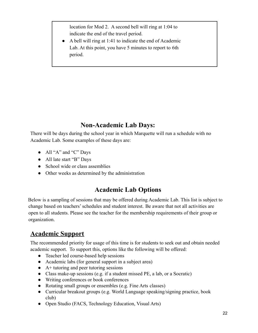location for Mod 2. A second bell will ring at 1:04 to indicate the end of the travel period.

● A bell will ring at 1:41 to indicate the end of Academic Lab. At this point, you have 5 minutes to report to 6th period.

## **Non-Academic Lab Days:**

There will be days during the school year in which Marquette will run a schedule with no Academic Lab. Some examples of these days are:

- All "A" and "C" Days
- All late start "B" Days
- School wide or class assemblies
- Other weeks as determined by the administration

## **Academic Lab Options**

Below is a sampling of sessions that may be offered during Academic Lab. This list is subject to change based on teachers' schedules and student interest. Be aware that not all activities are open to all students. Please see the teacher for the membership requirements of their group or organization.

## **Academic Support**

The recommended priority for usage of this time is for students to seek out and obtain needed academic support. To support this, options like the following will be offered:

- Teacher led course-based help sessions
- Academic labs (for general support in a subject area)
- A+ tutoring and peer tutoring sessions
- Class make-up sessions (e.g. if a student missed PE, a lab, or a Socratic)
- Writing conferences or book conferences
- Rotating small groups or ensembles (e.g. Fine Arts classes)
- Curricular breakout groups (e.g. World Language speaking/signing practice, book club)
- Open Studio (FACS, Technology Education, Visual Arts)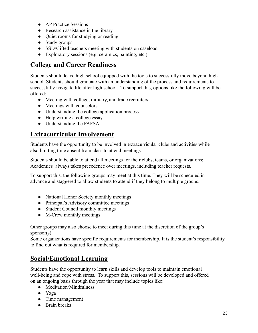- AP Practice Sessions
- Research assistance in the library
- Quiet rooms for studying or reading
- Study groups
- SSD/Gifted teachers meeting with students on caseload
- Exploratory sessions (e.g. ceramics, painting, etc.)

## **College and Career Readiness**

Students should leave high school equipped with the tools to successfully move beyond high school. Students should graduate with an understanding of the process and requirements to successfully navigate life after high school. To support this, options like the following will be offered:

- Meeting with college, military, and trade recruiters
- Meetings with counselors
- Understanding the college application process
- Help writing a college essay
- Understanding the FAFSA

### **Extracurricular Involvement**

Students have the opportunity to be involved in extracurricular clubs and activities while also limiting time absent from class to attend meetings.

Students should be able to attend all meetings for their clubs, teams, or organizations; Academics always takes precedence over meetings, including teacher requests.

To support this, the following groups may meet at this time. They will be scheduled in advance and staggered to allow students to attend if they belong to multiple groups:

- National Honor Society monthly meetings
- Principal's Advisory committee meetings
- Student Council monthly meetings
- M-Crew monthly meetings

Other groups may also choose to meet during this time at the discretion of the group's sponsor(s).

Some organizations have specific requirements for membership. It is the student's responsibility to find out what is required for membership.

## **Social/Emotional Learning**

Students have the opportunity to learn skills and develop tools to maintain emotional well-being and cope with stress. To support this, sessions will be developed and offered on an ongoing basis through the year that may include topics like:

- Meditation/Mindfulness
- Yoga
- Time management
- Brain breaks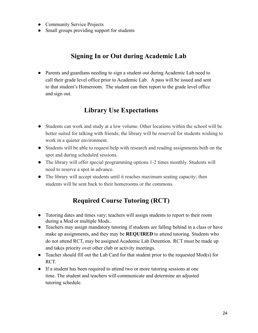- Community Service Projects
- Small groups providing support for students

## **Signing In or Out during Academic Lab**

● Parents and guardians needing to sign a student out during Academic Lab need to call their grade level office prior to Academic Lab. A pass will be issued and sent to that student's Homeroom. The student can then report to the grade level office and sign out.

## **Library Use Expectations**

- Students can work and study at a low volume. Other locations within the school will be better suited for talking with friends; the library will be reserved for students wishing to work in a quieter environment.
- Students will be able to request help with research and reading assignments both on the spot and during scheduled sessions.
- The library will offer special programming options 1-2 times monthly. Students will need to reserve a spot in advance.
- The library will accept students until it reaches maximum seating capacity; then students will be sent back to their homerooms or the commons.

## **Required Course Tutoring (RCT)**

- Tutoring dates and times vary; teachers will assign students to report to their room during a Mod or multiple Mods..
- Teachers may assign mandatory tutoring if students are falling behind in a class or have make up assignments, and they may be **REQUIRED** to attend tutoring. Students who do not attend RCT, may be assigned Academic Lab Detention. RCT must be made up and takes priority over other club or activity meetings.
- Teacher should fill out the Lab Card for that student prior to the requested Mod(s) for RCT.
- If a student has been required to attend two or more tutoring sessions at one time. The student and teachers will communicate and determine an adjusted tutoring schedule.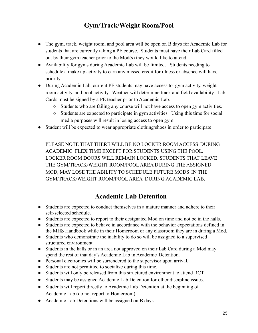## **Gym/Track/Weight Room/Pool**

- The gym, track, weight room, and pool area will be open on B days for Academic Lab for students that are currently taking a PE course. Students must have their Lab Card filled out by their gym teacher prior to the Mod(s) they would like to attend.
- Availability for gyms during Academic Lab will be limited. Students needing to schedule a make up activity to earn any missed credit for illness or absence will have priority.
- During Academic Lab, current PE students may have access to gym activity, weight room activity, and pool activity. Weather will determine track and field availability. Lab Cards must be signed by a PE teacher prior to Academic Lab.
	- Students who are failing any course will not have access to open gym activities.
	- Students are expected to participate in gym activities. Using this time for social media purposes will result in losing access to open gym.
- Student will be expected to wear appropriate clothing/shoes in order to participate

PLEASE NOTE THAT THERE WILL BE NO LOCKER ROOM ACCESS DURING ACADEMIC FLEX TIME EXCEPT FOR STUDENTS USING THE POOL. LOCKER ROOM DOORS WILL REMAIN LOCKED. STUDENTS THAT LEAVE THE GYM/TRACK/WEIGHT ROOM/POOL AREA DURING THE ASSIGNED MOD, MAY LOSE THE ABILITY TO SCHEDULE FUTURE MODS IN THE GYM/TRACK/WEIGHT ROOM/POOL AREA DURING ACADEMIC LAB.

## **Academic Lab Detention**

- Students are expected to conduct themselves in a mature manner and adhere to their self-selected schedule.
- Students are expected to report to their designated Mod on time and not be in the halls.
- Students are expected to behave in accordance with the behavior expectations defined in the MHS Handbook while in their Homeroom or any classroom they are in during a Mod.
- Students who demonstrate the inability to do so will be assigned to a supervised structured environment.
- Students in the halls or in an area not approved on their Lab Card during a Mod may spend the rest of that day's Academic Lab in Academic Detention.
- Personal electronics will be surrendered to the supervisor upon arrival.
- Students are not permitted to socialize during this time.
- Students will only be released from this structured environment to attend RCT.
- Students may be assigned Academic Lab Detention for other discipline issues.
- Students will report directly to Academic Lab Detention at the beginning of Academic Lab (do not report to Homeroom).
- Academic Lab Detentions will be assigned on B days.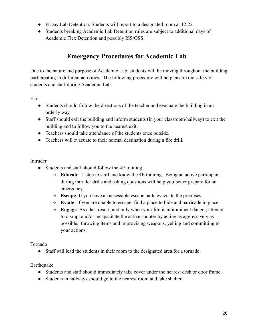- B Day Lab Detention: Students will report to a designated room at 12:22
- Students breaking Academic Lab Detention rules are subject to additional days of Academic Flex Detention and possibly ISS/OSS.

## . **Emergency Procedures for Academic Lab**

Due to the nature and purpose of Academic Lab, students will be moving throughout the building participating in different activities. The following procedure will help ensure the safety of students and staff during Academic Lab.

Fire

- Students should follow the directions of the teacher and evacuate the building in an orderly way.
- Staff should exit the building and inform students (in your classroom/hallway) to exit the building and to follow you to the nearest exit.
- Teachers should take attendance of the students once outside.
- Teachers will evacuate to their normal destination during a fire drill.

#### Intruder

- Students and staff should follow the 4E training
	- **Educate** Listen to staff and know the 4E training. Being an active participant during intruder drills and asking questions will help you better prepare for an emergency.
	- **Escape** If you have an accessible escape path, evacuate the premises.
	- **Evade** If you are unable to escape, find a place to hide and barricade in place.
	- **Engage** As a last resort, and only when your life is in imminent danger, attempt to disrupt and/or incapacitate the active shooter by acting as aggressively as possible, throwing items and improvising weapons, yelling and committing to your actions.

Tornado

● Staff will lead the students in their room to the designated area for a tornado.

Earthquake

- Students and staff should immediately take cover under the nearest desk or door frame.
- Students in hallways should go to the nearest room and take shelter.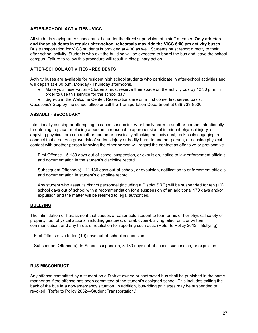#### **AFTER-SCHOOL ACTIVITIES - VICC**

All students staying after school must be under the direct supervision of a staff member. **Only athletes and those students in regular after-school rehearsals may ride the VICC 6:00 pm activity buses.** Bus transportation for VICC students is provided at 4:30 as well. Students must report directly to their after-school activity. Students who exit the building will be expected to board the bus and leave the school campus. Failure to follow this procedure will result in disciplinary action.

#### **AFTER-SCHOOL ACTIVITIES - RESIDENTS**

Activity buses are available for resident high school students who participate in after-school activities and will depart at 4:30 p.m. Monday - Thursday afternoons.

- Make your reservation Students must reserve their space on the activity bus by 12:30 p.m. in order to use this service for the school day.
- Sign-up in the Welcome Center. Reservations are on a first come, first served basis.

Questions? Stop by the school office or call the Transportation Department at 636-733-8500.

#### **ASSAULT - SECONDARY**

Intentionally causing or attempting to cause serious injury or bodily harm to another person, intentionally threatening to place or placing a person in reasonable apprehension of imminent physical injury, or applying physical force on another person or physically attacking an individual, recklessly engaging in conduct that creates a grave risk of serious injury or bodily harm to another person, or causing physical contact with another person knowing the other person will regard the contact as offensive or provocative.

First Offense—5-180 days out-of-school suspension, or expulsion, notice to law enforcement officials, and documentation in the student's discipline record

Subsequent Offense(s)—11-180 days out-of-school, or expulsion, notification to enforcement officials, and documentation in student's discipline record

Any student who assaults district personnel (including a District SRO) will be suspended for ten (10) school days out of school with a recommendation for a suspension of an additional 170 days and/or expulsion and the matter will be referred to legal authorities.

#### **BULLYING**

The intimidation or harassment that causes a reasonable student to fear for his or her physical safety or property, i.e., physical actions, including gestures, or oral, cyber-bullying, electronic or written communication, and any threat of retaliation for reporting such acts. (Refer to Policy 2612 – Bullying)

First Offense: Up to ten (10) days out-of-school suspension

Subsequent Offense(s): In-School suspension, 3-180 days out-of-school suspension, or expulsion.

#### **BUS MISCONDUCT**

Any offense committed by a student on a District-owned or contracted bus shall be punished in the same manner as if the offense has been committed at the student's assigned school. This includes exiting the back of the bus in a non-emergency situation. In addition, bus-riding privileges may be suspended or revoked. (Refer to Policy 2652—Student Transportation.)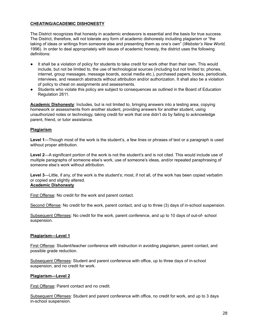#### **CHEATING/ACADEMIC DISHONESTY**

The District recognizes that honesty in academic endeavors is essential and the basis for true success. The District, therefore, will not tolerate any form of academic dishonesty including plagiarism or "the taking of ideas or writings from someone else and presenting them as one's own" (*Webster's New World,* 1996). In order to deal appropriately with issues of academic honesty, the district uses the following definitions:

- It shall be a violation of policy for students to take credit for work other than their own. This would include, but not be limited to, the use of technological sources (including but not limited to; phones, internet, group messages, message boards, social media etc.), purchased papers, books, periodicals, interviews, and research abstracts without attribution and/or authorization. It shall also be a violation of policy to cheat on assignments and assessments.
- Students who violate this policy are subject to consequences as outlined in the Board of Education Regulation 2611.

**Academic Dishonesty**: Includes, but is not limited to, bringing answers into a testing area, copying homework or assessments from another student, providing answers for another student, using unauthorized notes or technology, taking credit for work that one didn't do by failing to acknowledge parent, friend, or tutor assistance.

#### **Plagiarism**

**Level 1**—Though most of the work is the student's, a few lines or phrases of text or a paragraph is used without proper attribution.

**Level 2**—A significant portion of the work is not the student's and is not cited. This would include use of multiple paragraphs of someone else's work, use of someone's ideas, and/or repeated paraphrasing of someone else's work without attribution.

**Level 3**—Little, if any, of the work is the student's; most, if not all, of the work has been copied verbatim or copied and slightly altered. **Academic Dishonesty**

First Offense: No credit for the work and parent contact.

Second Offense: No credit for the work, parent contact, and up to three (3) days of in-school suspension.

Subsequent Offenses: No credit for the work, parent conference, and up to 10 days of out-of- school suspension.

#### **Plagiarism—Level 1**

First Offense: Student/teacher conference with instruction in avoiding plagiarism, parent contact, and possible grade reduction.

Subsequent Offenses: Student and parent conference with office, up to three days of in-school suspension, and no credit for work.

#### **Plagiarism—Level 2**

First Offense: Parent contact and no credit.

Subsequent Offenses: Student and parent conference with office, no credit for work, and up to 3 days in-school suspension.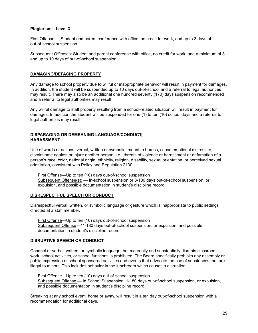#### **Plagiarism—Level 3**

First Offense: Student and parent conference with office, no credit for work, and up to 3 days of out-of-school suspension.

Subsequent Offenses: Student and parent conference with office, no credit for work, and a minimum of 3 and up to 10 days of out-of-school suspension.

#### **DAMAGING/DEFACING PROPERTY**

Any damage to school property due to willful or inappropriate behavior will result in payment for damages. In addition, the student will be suspended up to 10 days out-of-school and a referral to legal authorities may result. There may also be an additional one hundred seventy (170) days suspension recommended and a referral to legal authorities may result.

Any willful damage to staff property resulting from a school-related situation will result in payment for damages. In addition the student will be suspended for one (1) to ten (10) school days and a referral to legal authorities may result.

#### **DISPARAGING OR DEMEANING LANGUAGE/CONDUCT; HARASSMENT**

Use of words or actions, verbal, written or symbolic, meant to harass, cause emotional distress to, discriminate against or injure another person; i.e., threats of violence or harassment or defamation of a person's race, color, national origin, ethnicity, religion, disability, sexual orientation, or perceived sexual orientation, consistent with Policy and Regulation 2130.

First Offense—Up to ten (10) days out-of-school suspension Subsequent Offense(s): - In-school suspension or 3-180 days out-of-school suspension, or expulsion, and possible documentation in student's discipline record

#### **DISRESPECTFUL SPEECH OR CONDUCT**

Disrespectful verbal, written, or symbolic language or gesture which is inappropriate to public settings directed at a staff member.

First Offense—Up to ten (10) days out-of-school suspension Subsequent Offense—11-180 days out-of-school suspension, or expulsion, and possible documentation in student's discipline record.

#### **DISRUPTIVE SPEECH OR CONDUCT**

Conduct or verbal, written, or symbolic language that materially and substantially disrupts classroom work, school activities, or school functions is prohibited. The Board specifically prohibits any assembly or public expression at school sponsored activities and events that advocate the use of substances that are illegal to minors. This includes behavior in the lunchroom which causes a disruption.

First Offense—Up to ten (10) days out-of-school suspension Subsequent Offense — In School Suspension, 1-180 days out-of-school suspension, or expulsion, and possible documentation in student's discipline record

Streaking at any school event, home or away, will result in a ten day out-of-school suspension with a recommendation for additional days.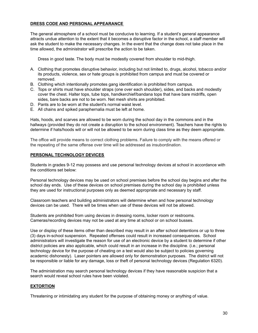#### **DRESS CODE AND PERSONAL APPEARANCE**

The general atmosphere of a school must be conducive to learning. If a student's general appearance attracts undue attention to the extent that it becomes a disruptive factor in the school, a staff member will ask the student to make the necessary changes. In the event that the change does not take place in the time allowed, the administrator will prescribe the action to be taken.

Dress in good taste. The body must be modestly covered from shoulder to mid-thigh.

- A. Clothing that promotes disruptive behavior, including but not limited to, drugs, alcohol, tobacco and/or its products, violence, sex or hate groups is prohibited from campus and must be covered or removed.
- B. Clothing which intentionally promotes gang identification is prohibited from campus.
- C. Tops or shirts must have shoulder straps (one over each shoulder), sides, and backs and modestly cover the chest. Halter tops, tube tops, handkerchief/bandana tops that have bare midriffs, open sides, bare backs are not to be worn. Net mesh shirts are prohibited.
- D. Pants are to be worn at the student's normal waist level.
- E. All chains and spiked paraphernalia must be left at home.

Hats, hoods, and scarves are allowed to be worn during the school day in the commons and in the hallways (provided they do not create a disruption to the school environment). Teachers have the rights to determine if hats/hoods will or will not be allowed to be worn during class time as they deem appropriate.

The office will provide means to correct clothing problems. Failure to comply with the means offered or the repeating of the same offense over time will be addressed as insubordination.

#### **PERSONAL TECHNOLOGY DEVICES**

Students in grades 9-12 may possess and use personal technology devices at school in accordance with the conditions set below:

Personal technology devices may be used on school premises before the school day begins and after the school day ends. Use of these devices on school premises during the school day is prohibited unless they are used for instructional purposes only as deemed appropriate and necessary by staff.

Classroom teachers and building administrators will determine when and how personal technology devices can be used. There will be times when use of these devices will not be allowed.

Students are prohibited from using devices in dressing rooms, locker room or restrooms. Cameras/recording devices may not be used at any time at school or on school busses.

Use or display of these items other than described may result in an after school detentions or up to three (3) days in-school suspension. Repeated offenses could result in increased consequences. School administrators will investigate the reason for use of an electronic device by a student to determine if other district policies are also applicable, which could result in an increase in the discipline. (i.e.; personal technology device for the purpose of cheating on a test would also be subject to policies governing academic dishonesty). Laser pointers are allowed only for demonstration purposes. The district will not be responsible or liable for any damage, loss or theft of personal technology devices (Regulation 6320).

The administration may search personal technology devices if they have reasonable suspicion that a search would reveal school rules have been violated.

#### **EXTORTION**

Threatening or intimidating any student for the purpose of obtaining money or anything of value.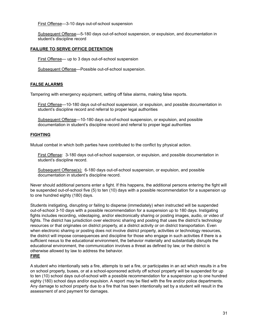First Offense—3-10 days out-of-school suspension

Subsequent Offense—5-180 days out-of-school suspension, or expulsion, and documentation in student's discipline record

#### **FAILURE TO SERVE OFFICE DETENTION**

First Offense— up to 3 days out-of-school suspension

Subsequent Offense—Possible out-of-school suspension.

#### **FALSE ALARMS**

Tampering with emergency equipment, setting off false alarms, making false reports.

First Offense—10-180 days out-of-school suspension, or expulsion, and possible documentation in student's discipline record and referral to proper legal authorities

Subsequent Offense—10-180 days out-of-school suspension, or expulsion, and possible documentation in student's discipline record and referral to proper legal authorities

#### **FIGHTING**

Mutual combat in which both parties have contributed to the conflict by physical action.

First Offense: 3-180 days out-of-school suspension, or expulsion, and possible documentation in student's discipline record.

Subsequent Offense(s): 6-180 days out-of-school suspension, or expulsion, and possible documentation in student's discipline record.

Never should additional persons enter a fight. If this happens, the additional persons entering the fight will be suspended out-of-school five (5) to ten (10) days with a possible recommendation for a suspension up to one hundred eighty (180) days.

Students instigating, disrupting or failing to disperse (immediately) when instructed will be suspended out-of-school 3-10 days with a possible recommendation for a suspension up to 180 days. Instigating fights includes recording, videotaping, and/or electronically sharing or posting images, audio, or video of fights. The district has jurisdiction over electronic sharing and posting that uses the district's technology resources or that originates on district property, at a district activity or on district transportation. Even when electronic sharing or posting does not involve district property, activities or technology resources, the district will impose consequences and discipline for those who engage in such activities if there is a sufficient nexus to the educational environment, the behavior materially and substantially disrupts the educational environment, the communication involves a threat as defined by law, or the district is otherwise allowed by law to address the behavior. **FIRE**

A student who intentionally sets a fire, attempts to set a fire, or participates in an act which results in a fire on school property, buses, or at a school-sponsored activity off school property will be suspended for up to ten (10) school days out-of-school with a possible recommendation for a suspension up to one hundred eighty (180) school days and/or expulsion. A report may be filed with the fire and/or police departments. Any damage to school property due to a fire that has been intentionally set by a student will result in the assessment of and payment for damages.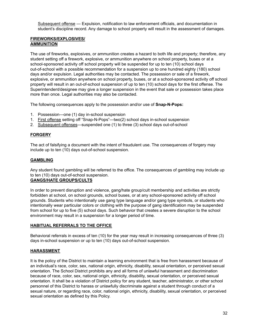Subsequent offense — Expulsion, notification to law enforcement officials, and documentation in student's discipline record. Any damage to school property will result in the assessment of damages.

#### **FIREWORKS/EXPLOSIVES/ AMMUNITION**

The use of fireworks, explosives, or ammunition creates a hazard to both life and property; therefore, any student setting off a firework, explosive, or ammunition anywhere on school property, buses or at a school-sponsored activity off school property will be suspended for up to ten (10) school days out-of-school with a possible recommendation for a suspension up to one hundred eighty (180) school days and/or expulsion. Legal authorities may be contacted. The possession or sale of a firework, explosive, or ammunition anywhere on school property, buses, or at a school-sponsored activity off school property will result in an out-of-school suspension of up to ten (10) school days for the first offense. The Superintendent/designee may give a longer suspension in the event that sale or possession takes place more than once. Legal authorities may also be contacted.

The following consequences apply to the possession and/or use of **Snap-N-Pops:**

- 1. Possession—one (1) day in-school suspension
- 1. First offense setting off "Snap-N-Pops"—two(2) school days in-school suspension
- 2. Subsequent offenses—suspended one (1) to three (3) school days out-of-school

#### **FORGERY**

The act of falsifying a document with the intent of fraudulent use. The consequences of forgery may include up to ten (10) days out-of-school suspension.

#### **GAMBLING**

Any student found gambling will be referred to the office. The consequences of gambling may include up to ten (10) days out-of-school suspension.

#### **GANGS/HATE GROUPS/CULTS**

In order to prevent disruption and violence, gang/hate group/cult membership and activities are strictly forbidden at school, on school grounds, school buses, or at any school-sponsored activity off school grounds. Students who intentionally use gang type language and/or gang type symbols, or students who intentionally wear particular colors or clothing with the purpose of gang identification may be suspended from school for up to five (5) school days. Such behavior that creates a severe disruption to the school environment may result in a suspension for a longer period of time.

#### **HABITUAL REFERRALS TO THE OFFICE**

Behavioral referrals in excess of ten (10) for the year may result in increasing consequences of three (3) days in-school suspension or up to ten (10) days out-of-school suspension.

#### **HARASSMENT**

It is the policy of the District to maintain a learning environment that is free from harassment because of an individual's race, color, sex, national origin, ethnicity, disability, sexual orientation, or perceived sexual orientation. The School District prohibits any and all forms of unlawful harassment and discrimination because of race, color, sex, national origin, ethnicity, disability, sexual orientation, or perceived sexual orientation. It shall be a violation of District policy for any student, teacher, administrator, or other school personnel of this District to harass or unlawfully discriminate against a student through conduct of a sexual nature, or regarding race, color, national origin, ethnicity, disability, sexual orientation, or perceived sexual orientation as defined by this Policy.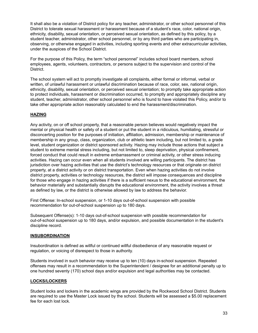It shall also be a violation of District policy for any teacher, administrator, or other school personnel of this District to tolerate sexual harassment or harassment because of a student's race, color, national origin, ethnicity, disability, sexual orientation, or perceived sexual orientation, as defined by this policy, by a student teacher, administrator, other school personnel, or by any third parties who are participating in, observing, or otherwise engaged in activities, including sporting events and other extracurricular activities, under the auspices of the School District.

For the purpose of this Policy, the term "school personnel" includes school board members, school employees, agents, volunteers, contractors, or persons subject to the supervision and control of the District.

The school system will act to promptly investigate all complaints, either formal or informal, verbal or written, of unlawful harassment or unlawful discrimination because of race, color, sex, national origin, ethnicity, disability, sexual orientation, or perceived sexual orientation; to promptly take appropriate action to protect individuals, harassment or discrimination occurred, to promptly and appropriately discipline any student, teacher, administrator, other school personnel who is found to have violated this Policy, and/or to take other appropriate action reasonably calculated to end the harassment/discrimination.

#### **HAZING**

Any activity, on or off school property, that a reasonable person believes would negatively impact the mental or physical health or safety of a student or put the student in a ridiculous, humiliating, stressful or disconcerting position for the purposes of initiation, affiliation, admission, membership or maintenance of membership in any group, class, organization, club or athletic team including, but not limited to, a grade level, student organization or district sponsored activity. Hazing may include those actions that subject a student to extreme mental stress including, but not limited to, sleep deprivation, physical confinement, forced conduct that could result in extreme embarrassment or criminal activity, or other stress inducing activities. Hazing can occur even when all students involved are willing participants. The district has jurisdiction over hazing activities that use the district's technology resources or that originate on district property, at a district activity or on district transportation. Even when hazing activities do not involve district property, activities or technology resources, the district will impose consequences and discipline for those who engage in hazing activities if there is a sufficient nexus to the educational environment, the behavior materially and substantially disrupts the educational environment, the activity involves a threat as defined by law, or the district is otherwise allowed by law to address the behavior.

First Offense: In-school suspension, or 1-10 days out-of-school suspension with possible recommendation for out-of-school suspension up to 180 days.

Subsequent Offense(s): 1-10 days out-of-school suspension with possible recommendation for out-of-school suspension up to 180 days, and/or expulsion, and possible documentation in the student's discipline record.

#### **INSUBORDINATION**

Insubordination is defined as willful or continued willful disobedience of any reasonable request or regulation, or voicing of disrespect to those in authority.

Students involved in such behavior may receive up to ten (10) days in-school suspension. Repeated offenses may result in a recommendation to the Superintendent / designee for an additional penalty up to one hundred seventy (170) school days and/or expulsion and legal authorities may be contacted.

#### **LOCKS/LOCKERS**

Student locks and lockers in the academic wings are provided by the Rockwood School District. Students are required to use the Master Lock issued by the school. Students will be assessed a \$5.00 replacement fee for each lost lock.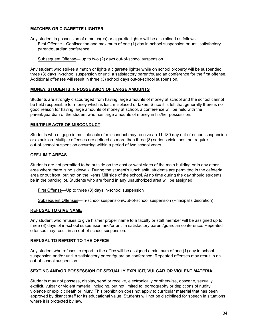#### **MATCHES OR CIGARETTE LIGHTER**

Any student in possession of a match(es) or cigarette lighter will be disciplined as follows: First Offense—Confiscation and maximum of one (1) day in-school suspension or until satisfactory parent/guardian conference

Subsequent Offense— up to two (2) days out-of-school suspension

Any student who strikes a match or lights a cigarette lighter while on school property will be suspended three (3) days in-school suspension or until a satisfactory parent/guardian conference for the first offense. Additional offenses will result in three (3) school days out-of-school suspension.

#### **MONEY, STUDENTS IN POSSESSION OF LARGE AMOUNTS**

Students are strongly discouraged from having large amounts of money at school and the school cannot be held responsible for money which is lost, misplaced or taken. Since it is felt that generally there is no good reason for having large amounts of money at school, a conference will be held with the parent/guardian of the student who has large amounts of money in his/her possession.

#### **MULTIPLE ACTS OF MISCONDUCT**

Students who engage in multiple acts of misconduct may receive an 11-180 day out-of-school suspension or expulsion. Multiple offenses are defined as more than three (3) serious violations that require out-of-school suspension occurring within a period of two school years.

#### **OFF-LIMIT AREAS**

Students are not permitted to be outside on the east or west sides of the main building or in any other area where there is no sidewalk. During the student's lunch shift, students are permitted in the cafeteria area or out front, but not on the Kehrs Mill side of the school. At no time during the day should students be in the parking lot. Students who are found in any unauthorized area will be assigned:

First Offense—Up to three (3) days in-school suspension

Subsequent Offenses—In-school suspension/Out-of-school suspension (Principal's discretion)

#### **REFUSAL TO GIVE NAME**

Any student who refuses to give his/her proper name to a faculty or staff member will be assigned up to three (3) days of in-school suspension and/or until a satisfactory parent/guardian conference. Repeated offenses may result in an out-of-school suspension.

#### **REFUSAL TO REPORT TO THE OFFICE**

Any student who refuses to report to the office will be assigned a minimum of one (1) day in-school suspension and/or until a satisfactory parent/guardian conference. Repeated offenses may result in an out-of-school suspension.

#### **SEXTING AND/OR POSSESSION OF SEXUALLY EXPLICIT, VULGAR OR VIOLENT MATERIAL**

Students may not possess, display, send or receive, electronically or otherwise, obscene, sexually explicit, vulgar or violent material including, but not limited to, pornography or depictions of nudity, violence or explicit death or injury. This prohibition does not apply to curricular material that has been approved by district staff for its educational value. Students will not be disciplined for speech in situations where it is protected by law.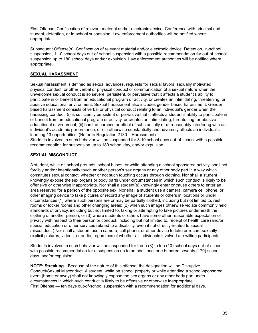First Offense: Confiscation of relevant material and/or electronic device. Conference with principal and student, detention, or in-school suspension. Law enforcement authorities will be notified where appropriate.

Subsequent Offense(s): Confiscation of relevant material and/or electronic device. Detention, in-school suspension, 1-10 school days out-of-school suspension with a possible recommendation for out-of-school suspension up to 180 school days and/or expulsion. Law enforcement authorities will be notified where appropriate.

#### **SEXUAL HARASSMENT**

Sexual harassment is defined as sexual advances, requests for sexual favors, sexually motivated physical conduct, or other verbal or physical conduct or communication of a sexual nature when the unwelcome sexual conduct is so severe, persistent, or pervasive that it affects a student's ability to participate in or benefit from an educational program or activity, or creates an intimidating, threatening, or abusive educational environment. Sexual harassment also includes gender based harassment. Gender based harassment consists of verbal or physical conduct relating to an individual's gender when the harassing conduct: (i) is sufficiently persistent or pervasive that it affects a student's ability to participate in or benefit from an educational program or activity, or creates an intimidating, threatening, or abusive educational environment; (ii) has the purpose or effect of substantially or unreasonably interfering with an individual's academic performance; or (iii) otherwise substantially and adversely affects an individual's learning 13 opportunities. (Refer to Regulation 2130 – Harassment)

Students involved in such behavior will be suspended for 3-10 school days out-of-school with a possible recommendation for suspension up to 180 school day, and/or expulsion.

#### **SEXUAL MISCONDUCT**

A student, while on school grounds, school buses, or while attending a school sponsored activity, shall not forcibly and/or intentionally touch another person's sex organs or any other body part in a way which constitutes sexual contact, whether or not such touching occurs through clothing. Nor shall a student knowingly expose the sex organs or body parts under circumstances in which such conduct is likely to be offensive or otherwise inappropriate. Nor shall a student(s) knowingly enter or cause others to enter an area reserved for a person of the opposite sex. Nor shall a student use a camera, camera cell phone, or other imaging device to take pictures or record any image of students or others in locations or under circumstances (1) where such persons are or may be partially clothed, including but not limited to, rest rooms or locker rooms and other changing areas; (2) when such images otherwise violate commonly held standards of privacy, including but not limited to, taking or attempting to take pictures underneath the clothing of another person; or (3) where students or others have some other reasonable expectation of privacy with respect to their person or conduct, including but not limited to, receipt of health care (and/or special education or other services related to a disability, even if not directly related to sexual misconduct.) Nor shall a student use a camera, cell phone, or other device to take or record sexually explicit pictures, videos, or audio, regardless of whether all individuals involved are willing participants.

Students involved in such behavior will be suspended for three (3) to ten (10) school days out-of-school with possible recommendation for a suspension up to an additional one hundred seventy (170) school days, and/or expulsion.

**NOTE: Streaking**—Because of the nature of this offense, the designation will be Disruptive Conduct/Sexual Misconduct. A student, while on school property or while attending a school-sponsored event (home or away) shall not knowingly expose the sex organs or any other body part under circumstances in which such conduct is likely to be offensive or otherwise inappropriate. First Offense — ten days out-of-school suspension with a recommendation for additional days.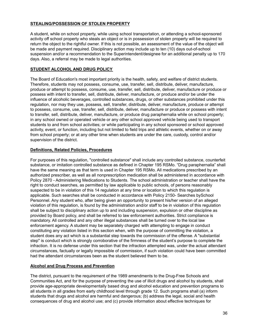#### **STEALING/POSSESSION OF STOLEN PROPERTY**

A student, while on school property, while using school transportation, or attending a school-sponsored activity off school property who steals an object or is in possession of stolen property will be required to return the object to the rightful owner. If this is not possible, an assessment of the value of the object will be made and payment required. Disciplinary action may include up to ten (10) days out-of-school suspension and/or a recommendation to the Superintendent/designee for an additional penalty up to 170 days. Also, a referral may be made to legal authorities.

#### **STUDENT ALCOHOL AND DRUG POLICY**

The Board of Education's most important priority is the health, safety, and welfare of district students. Therefore, students may not possess, consume, use, transfer, sell, distribute, deliver, manufacture, produce or attempt to possess, consume, use, transfer, sell, distribute, deliver, manufacture or produce or possess with intent to transfer, sell, distribute, deliver, manufacture, or produce and/or be under the influence of alcoholic beverages, controlled substances, drugs, or other substances prohibited under this regulation, nor may they use, possess, sell, transfer, distribute, deliver, manufacture, produce or attempt to possess, consume, use, transfer, sell, distribute, deliver, manufacture or produce or possess with intent to transfer, sell, distribute, deliver, manufacture, or produce drug paraphernalia while on school property; in any school owned or operated vehicle or any other school approved vehicle being used to transport students to and from school activities; or while participating in any school sponsored or school approved activity, event, or function, including but not limited to field trips and athletic events, whether on or away from school property; or at any other time when students are under the care, custody, control and/or supervision of the district.

#### **Definitions, Related Policies, Procedures**

For purposes of this regulation, "controlled substance" shall include any controlled substance, counterfeit substance, or imitation controlled substance as defined in Chapter 195 RSMo. "Drug paraphernalia" shall have the same meaning as that term is used in Chapter 195 RSMo. All medications prescribed by an authorized prescriber, as well as all nonprescription medication shall be administered in accordance with Policy 2870 - Administering Medications to Students. The school administration or teacher shall have the right to conduct searches, as permitted by law applicable to public schools, of persons reasonably suspected to be in violation of this 14 regulation at any time or location to which this regulation is applicable. Such searches shall be conducted in accordance with Policy 2150- Searches bySchool Personnel. Any student who, after being given an opportunity to present his/her version of an alleged violation of this regulation, is found by the administration and/or staff to be in violation of this regulation shall be subject to disciplinary action up to and including suspension, expulsion or other discipline as provided by Board policy, and shall be referred to law enforcement authorities. Strict compliance is mandatory. All controlled and any other illegal substances shall be turned over to the local law enforcement agency. A student may be separately charged with attempting to engage in conduct constituting any violation listed in this section when, with the purpose of committing the violation, a student does any act which is a substantial step towards the commission of the offense. A "substantial step" is conduct which is strongly corroborative of the firmness of the student's purpose to complete the infraction. It is no defense under this section that the infraction attempted was, under the actual attendant circumstances, factually or legally impossible of commission, if such violation could have been committed had the attendant circumstances been as the student believed them to be.

#### **Alcohol and Drug Process and Prevention**

The district, pursuant to the requirement of the 1989 amendments to the Drug-Free Schools and Communities Act, and for the purpose of preventing the use of illicit drugs and alcohol by students, shall provide age-appropriate developmentally based drug and alcohol education and prevention programs to all students in all grades from early childhood level through grade 12. Such programs shall (a) inform students that drugs and alcohol are harmful and dangerous; (b) address the legal, social and health consequences of drug and alcohol use; and (c) provide information about effective techniques for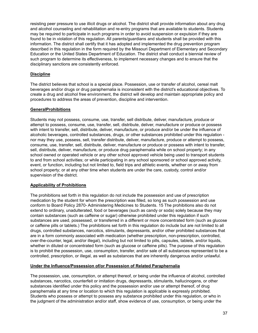resisting peer pressure to use illicit drugs or alcohol. The district shall provide information about any drug and alcohol counseling and rehabilitation and re-entry programs that are available to students. Students may be required to participate in such programs in order to avoid suspension or expulsion if they are found to be in violation of this regulation. All parents/guardians and students shall be provided with this information. The district shall certify that it has adopted and implemented the drug prevention program described in this regulation in the form required by the Missouri Department of Elementary and Secondary Education or the United States Department of Education. The district shall conduct a biennial review of such program to determine its effectiveness, to implement necessary changes and to ensure that the disciplinary sanctions are consistently enforced.

#### **Discipline**

The district believes that school is a special place. Possession, use or transfer of alcohol, cereal malt beverages and/or drugs or drug paraphernalia is inconsistent with the district's educational objectives. To create a drug and alcohol free environment, the district will develop and maintain appropriate policy and procedures to address the areas of prevention, discipline and intervention.

#### **GeneralProhibitions**

Students may not possess, consume, use, transfer, sell distribute, deliver, manufacture, produce or attempt to possess, consume, use, transfer, sell, distribute, deliver, manufacture or produce or possess with intent to transfer, sell, distribute, deliver, manufacture, or produce and/or be under the influence of alcoholic beverages, controlled substances, drugs, or other substances prohibited under this regulation nor may they use, possess, sell, transfer distribute, deliver, manufacture, produce or attempt to possess, consume, use, transfer, sell, distribute, deliver, manufacture or produce or possess with intent to transfer, sell, distribute, deliver, manufacture, or produce drug paraphernalia while on school property; in any school owned or operated vehicle or any other school approved vehicle being used to transport students to and from school activities; or while participating in any school sponsored or school approved activity, event, or function, including but not limited to, field trips and athletic events, whether on or away from school property; or at any other time when students are under the care, custody, control and/or supervision of the district.

#### **Applicability of Prohibitions**

The prohibitions set forth in this regulation do not include the possession and use of prescription medication by the student for whom the prescription was filled, so long as such possession and use conform to Board Policy 2870- Administering Medicines to Students. 15 The prohibitions also do not extend to ordinary, unadulterated, food or beverages (such as candy or soda) solely because they may contain substances (such as caffeine or sugar) otherwise prohibited under this regulation if such substances are used, possessed, or transferred in a different or more concentrated form (such as glucose or caffeine pills or tablets.) The prohibitions set forth in this regulation do include but are not limited to all drugs, controlled substances, narcotics, stimulants, depressants, and/or other prohibited substances that are in a form commonly associated with medication (whether prescription, non-prescription, controlled, over-the-counter, legal, and/or illegal), including but not limited to pills, capsules, tablets, and/or liquids, whether in diluted or concentrated form (such as glucose or caffeine pills). The purpose of this regulation is to prohibit the possession, use, consumption, transfer, and/or sale of all substances represented to be a controlled, prescription, or illegal, as well as substances that are inherently dangerous and/or unlawful.

#### **Under the Influence/Possession of/or Possession of Related Paraphernalia**

The possession, use, consumption, or attempt thereof, or being under the influence of alcohol, controlled substances, narcotics, counterfeit or imitation drugs, depressants, stimulants, hallucinogens, or other substances identified under this policy and the possession and/or use or attempt thereof, of drug paraphernalia at any time or location to which this regulation is applicable is expressly prohibited. Students who possess or attempt to possess any substance prohibited under this regulation, or who in the judgment of the administration and/or staff, show evidence of use, consumption, or being under the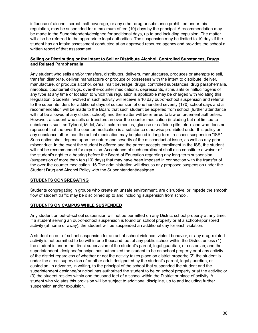influence of alcohol, cereal malt beverage, or any other drug or substance prohibited under this regulation, may be suspended for a maximum of ten (10) days by the principal. A recommendation may be made to the Superintendent/designee for additional days, up to and including expulsion. The matter will also be referred to the appropriate legal authorities. The suspension may be limited to 10 days if the student has an intake assessment conducted at an approved resource agency and provides the school a written report of that assessment.

#### **Selling or Distributing or the Intent to Sell or Distribute Alcohol, Controlled Substances, Drugs and Related Paraphernalia**

Any student who sells and/or transfers, distributes, delivers, manufactures, produces or attempts to sell, transfer, distribute, deliver, manufacture or produce or possesses with the intent to distribute, deliver, manufacture, or produce alcohol, cereal malt beverage, drugs, controlled substances, drug paraphernalia, narcotics, counterfeit drugs, over-the-counter medications, depressants, stimulants or hallucinogens of any type at any time or location to which this regulation is applicable may be charged with violating this Regulation. Students involved in such activity will receive a 10 day out-of-school suspension and referral to the superintendent for additional days of suspension of one hundred seventy (170) school days and a recommendation will be made to the Board that such student be expelled from school (further attendance will not be allowed at any district school), and the matter will be referred to law enforcement authorities. However, a student who sells or transfers an over-the-counter medication (including but not limited to substances such as Tylenol, Midol, Advil, cold remedies, glucose or caffeine pills, etc.) -and who does not represent that the over-the-counter medication is a substance otherwise prohibited under this policy or any substance other than the actual medication may be placed in long-term in-school suspension "ISS". Such option shall depend upon the nature and severity of the misconduct at issue, as well as any prior misconduct. In the event the student is offered and the parent accepts enrollment in the ISS, the student will not be recommended for expulsion. Acceptance of such enrollment shall also constitute a waiver of the student's right to a hearing before the Board of Education regarding any long-term suspension (suspension of more than ten (10) days) that may have been imposed in connection with the transfer of the over-the-counter medication. 16 The administration will discuss any proposed suspension under the Student Drug and Alcohol Policy with the Superintendent/designee.

#### **STUDENTS CONGREGATING**

Students congregating in groups who create an unsafe environment, are disruptive, or impede the smooth flow of student traffic may be disciplined up to and including suspension from school.

#### **STUDENTS ON CAMPUS WHILE SUSPENDED**

Any student on out-of-school suspension will not be permitted on any District school property at any time. If a student serving an out-of-school suspension is found on school property or at a school-sponsored activity (at home or away), the student will be suspended an additional day for each violation.

A student on out-of-school suspension for an act of school violence, violent behavior, or any drug-related activity is not permitted to be within one thousand feet of any public school within the District unless (1) the student is under the direct supervision of the student's parent, legal guardian, or custodian; and the superintendent designee/principal has authorized the student to be on school property or at any activity of the district regardless of whether or not the activity takes place on district property; (2) the student is under the direct supervision of another adult designated by the student's parent, legal guardian, or custodian, in advance, in writing, to the principal of the school that suspended the student and the superintendent designee/principal has authorized the student to be on school property or at the activity; or (3) the student resides within one thousand feet of a school within the District or place of activity. A student who violates this provision will be subject to additional discipline, up to and including further suspension and/or expulsion.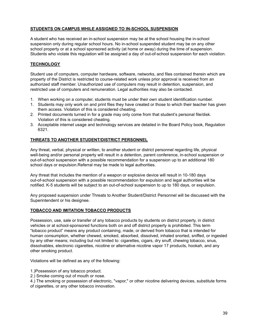#### **STUDENTS ON CAMPUS WHILE ASSIGNED TO IN-SCHOOL SUSPENSION**

A student who has received an in-school suspension may be at the school housing the in-school suspension only during regular school hours. No in-school suspended student may be on any other school property or at a school sponsored activity (at home or away) during the time of suspension. Students who violate this regulation will be assigned a day of out-of-school suspension for each violation.

#### **TECHNOLOGY**

Student use of computers, computer hardware, software, networks, and files contained therein which are property of the District is restricted to course-related work unless prior approval is received from an authorized staff member. Unauthorized use of computers may result in detention, suspension, and restricted use of computers and remuneration. Legal authorities may also be contacted.

- 1. When working on a computer, students must be under their own student identification number.
- 1. Students may only work on and print files they have created or those to which their teacher has given them access. Violation of this is considered cheating.
- 2. Printed documents turned in for a grade may only come from that student's personal file/disk. Violation of this is considered cheating.
- 3. Acceptable internet usage and technology services are detailed in the Board Policy book, Regulation 6321.

#### **THREATS TO ANOTHER STUDENT/DISTRICT PERSONNEL**

Any threat, verbal, physical or written, to another student or district personnel regarding life, physical well-being and/or personal property will result in a detention, parent conference, in-school suspension or out-of-school suspension with a possible recommendation for a suspension up to an additional 180 school days or expulsion.Referral may be made to legal authorities.

Any threat that includes the mention of a weapon or explosive device will result in 10-180 days out-of-school suspension with a possible recommendation for expulsion and legal authorities will be notified. K-5 students will be subject to an out-of-school suspension to up to 180 days, or expulsion.

Any proposed suspension under Threats to Another Student/District Personnel will be discussed with the Superintendent or his designee.

#### **TOBACCO AND IMITATION TOBACCO PRODUCTS**

Possession, use, sale or transfer of any tobacco products by students on district property, in district vehicles or at school-sponsored functions both on and off district property is prohibited. This term "tobacco product" means any product containing, made, or derived from tobacco that is intended for human consumption, whether chewed, smoked, absorbed, dissolved, inhaled snorted, sniffed, or ingested by any other means; including but not limited to: cigarettes, cigars, dry snuff, chewing tobacco, snus, dissolvables, electronic cigarettes, nicotine or alternative nicotine vapor 17 products, hookah, and any other smoking product.

Violations will be defined as any of the following:

- 1.)Possession of any tobacco product.
- 2.) Smoke coming out of mouth or nose.

4.) The smoking or possession of electronic, "vapor," or other nicotine delivering devices, substitute forms of cigarettes, or any other tobacco innovation.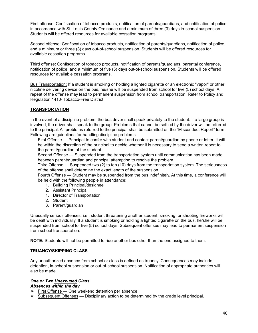First offense: Confiscation of tobacco products, notification of parents/guardians, and notification of police in accordance with St. Louis County Ordinance and a minimum of three (3) days in-school suspension. Students will be offered resources for available cessation programs.

Second offense: Confiscation of tobacco products, notification of parents/guardians, notification of police, and a minimum or three (3) days out-of-school suspension. Students will be offered resources for available cessation programs.

Third offense: Confiscation of tobacco products, notification of parents/guardians, parental conference, notification of police, and a minimum of five (5) days out-of-school suspension. Students will be offered resources for available cessation programs.

Bus Transportation: If a student is smoking or holding a lighted cigarette or an electronic "vapor" or other nicotine delivering device on the bus, he/she will be suspended from school for five (5) school days. A repeat of the offense may lead to permanent suspension from school transportation. Refer to Policy and Regulation 1410- Tobacco-Free District

#### **TRANSPORTATION**

In the event of a discipline problem, the bus driver shall speak privately to the student. If a large group is involved, the driver shall speak to the group. Problems that cannot be settled by the driver will be referred to the principal. All problems referred to the principal shall be submitted on the "Misconduct Report" form. Following are guidelines for handling discipline problems.

First Offense - Principal to confer with student and contact parent/quardian by phone or letter. It will be within the discretion of the principal to decide whether it is necessary to send a written report to the parent/guardian of the student.

Second Offense - Suspended from the transportation system until communication has been made between parent/guardian and principal attempting to resolve the problem.

Third Offense — Suspended two (2) to ten (10) days from the transportation system. The seriousness of the offense shall determine the exact length of the suspension.

Fourth Offense - Student may be suspended from the bus indefinitely. At this time, a conference will be held with the following people in attendance:

- 1. Building Principal/designee
- 2. Assistant Principal
- 1. Director of Transportation
- 2. Student
- 3. Parent/guardian

Unusually serious offenses; i.e., student threatening another student, smoking, or shooting fireworks will be dealt with individually. If a student is smoking or holding a lighted cigarette on the bus, he/she will be suspended from school for five (5) school days. Subsequent offenses may lead to permanent suspension from school transportation.

**NOTE:** Students will not be permitted to ride another bus other than the one assigned to them.

#### **TRUANCY/SKIPPING CLASS**

Any unauthorized absence from school or class is defined as truancy. Consequences may include detention, in-school suspension or out-of-school suspension. Notification of appropriate authorities will also be made.

#### *One or Two Unexcused Class*

*Absences within the day*

- $\geq$  First Offense One weekend detention per absence
- $\triangleright$  Subsequent Offenses Disciplinary action to be determined by the grade level principal.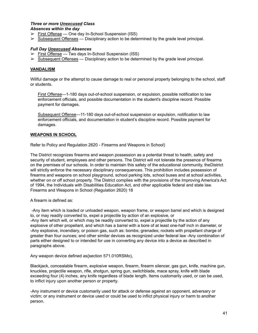#### *Three or more Unexcused Class Absences within the day*

- $\triangleright$  First Offense One day In-School Suspension (ISS)
- $\triangleright$  Subsequent Offenses Disciplinary action to be determined by the grade level principal.

#### *Full Day Unexcused Absences*

- $\triangleright$  First Offense Two days In-School Suspension (ISS)
- $\triangleright$  Subsequent Offenses Disciplinary action to be determined by the grade level principal.

#### **VANDALISM**

Willful damage or the attempt to cause damage to real or personal property belonging to the school, staff or students.

First Offense—1-180 days out-of-school suspension, or expulsion, possible notification to law enforcement officials, and possible documentation in the student's discipline record. Possible payment for damages.

Subsequent Offense—11-180 days out-of-school suspension or expulsion, notification to law enforcement officials, and documentation in student's discipline record. Possible payment for damages.

#### **WEAPONS IN SCHOOL**

Refer to Policy and Regulation 2620 - Firearms and Weapons in School)

The District recognizes firearms and weapon possession as a potential threat to health, safety and security of student, employees and other persons. The District will not tolerate the presence of firearms on the premises of our schools. In order to maintain this safety of the educational community, theDistrict will strictly enforce the necessary disciplinary consequences. This prohibition includes possession of firearms and weapons on school playground, school parking lots, school buses and at school activities, whether on or off school property. The District complies with the provisions of the Improving America's Act of 1994, the Individuals with Disabilities Education Act, and other applicable federal and state law. Firearms and Weapons in School (Regulation 2620) 18

A firearm is defined as:

-Any item which is loaded or unloaded weapon, weapon frame, or weapon barrel and which is designed to, or may readily converted to, expel a projectile by action of an explosive, or -Any item which will, or which may be readily converted to, expel a projectile by the action of any explosive of other propellant, and which has a barrel with a bore of at least one-half inch in diameter, or -Any explosive, incendiary, or poison gas, such as: bombs; grenades; rockets with propellant charge of greater than four ounces; and other similar devices as recognized under federal law -Any combination of parts either designed to or intended for use in converting any device into a device as described in paragraphs above.

Any weapon device defined as{section 571.010RSMo),

Blackjack, concealable firearm, explosive weapon, firearm, firearm silencer, gas gun, knife, machine gun, knuckles, projectile weapon, rifle, shotgun, spring gun, switchblade, mace spray, knife with blade exceeding four (4) inches, any knife regardless of blade length. Items customarily used, or can be used, to inflict injury upon another person or property.

-Any instrument or device customarily used for attack or defense against an opponent, adversary or victim; or any instrument or device used or could be used to inflict physical injury or harm to another person.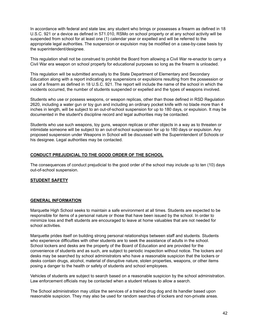In accordance with federal and state law, any student who brings or possesses a firearm as defined in 18 U.S.C. 921 or a device as defined in 571.010, RSMo on school property or at any school activity will be suspended from school for at least one (1) calendar year or expelled and will be referred to the appropriate legal authorities. The suspension or expulsion may be modified on a case-by-case basis by the superintendent/designee.

This regulation shall not be construed to prohibit the Board from allowing a Civil War re-enactor to carry a Civil War era weapon on school property for educational purposes so long as the firearm is unloaded.

This regulation will be submitted annually to the State Department of Elementary and Secondary Education along with a report indicating any suspensions or expulsions resulting from the possession or use of a firearm as defined in 18 U.S.C. 921. The report will include the name of the school in which the incidents occurred, the number of students suspended or expelled and the types of weapons involved.

Students who use or possess weapons, or weapon replicas, other than those defined in RSD Regulation 2620, including a water gun or toy gun and including an ordinary pocket knife with no blade more than 4 inches in length, will be subject to an out-of-school suspension for up to 180 days, or expulsion. It may be documented in the student's discipline record and legal authorities may be contacted.

Students who use such weapons, toy guns, weapon replicas or other objects in a way as to threaten or intimidate someone will be subject to an out-of-school suspension for up to 180 days or expulsion. Any proposed suspension under Weapons in School will be discussed with the Superintendent of Schools or his designee. Legal authorities may be contacted.

#### **CONDUCT PREJUDICIAL TO THE GOOD ORDER OF THE SCHOOL**

The consequences of conduct prejudicial to the good order of the school may include up to ten (10) days out-of-school suspension.

#### **STUDENT SAFETY**

#### **GENERAL INFORMATION**

Marquette High School seeks to maintain a safe environment at all times. Students are expected to be responsible for items of a personal nature or those that have been issued by the school. In order to minimize loss and theft students are encouraged to leave at home valuables that are not needed for school activities.

Marquette prides itself on building strong personal relationships between staff and students. Students who experience difficulties with other students are to seek the assistance of adults in the school. School lockers and desks are the property of the Board of Education and are provided for the convenience of students and as such, are subject to periodic inspection without notice. The lockers and desks may be searched by school administrators who have a reasonable suspicion that the lockers or desks contain drugs, alcohol, material of disruptive nature, stolen properties, weapons, or other items posing a danger to the health or safety of students and school employees.

Vehicles of students are subject to search based on a reasonable suspicion by the school administration. Law enforcement officials may be contacted when a student refuses to allow a search.

The School administration may utilize the services of a trained drug dog and its handler based upon reasonable suspicion. They may also be used for random searches of lockers and non-private areas.